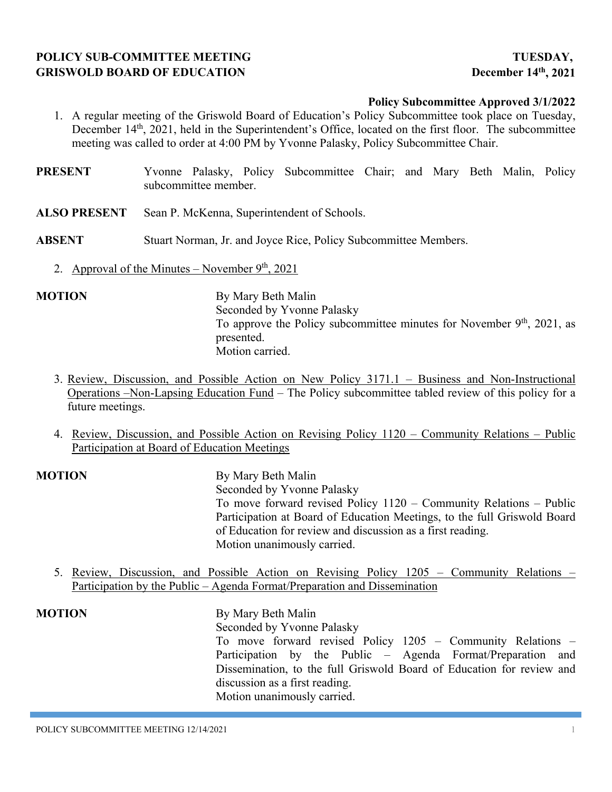# **POLICY SUB-COMMITTEE MEETING TUESDAY, GRISWOLD BOARD OF EDUCATION December 14th, 2021**

### **Policy Subcommittee Approved 3/1/2022**

- 1. A regular meeting of the Griswold Board of Education's Policy Subcommittee took place on Tuesday, December 14<sup>th</sup>, 2021, held in the Superintendent's Office, located on the first floor. The subcommittee meeting was called to order at 4:00 PM by Yvonne Palasky, Policy Subcommittee Chair.
- **PRESENT** Yvonne Palasky, Policy Subcommittee Chair; and Mary Beth Malin, Policy subcommittee member.
- **ALSO PRESENT** Sean P. McKenna, Superintendent of Schools.
- **ABSENT** Stuart Norman, Jr. and Joyce Rice, Policy Subcommittee Members.
	- 2. Approval of the Minutes November  $9<sup>th</sup>$ , 2021

**MOTION** By Mary Beth Malin Seconded by Yvonne Palasky To approve the Policy subcommittee minutes for November  $9<sup>th</sup>$ , 2021, as presented. Motion carried.

- 3. Review, Discussion, and Possible Action on New Policy 3171.1 Business and Non-Instructional Operations –Non-Lapsing Education Fund – The Policy subcommittee tabled review of this policy for a future meetings.
- 4. Review, Discussion, and Possible Action on Revising Policy 1120 Community Relations Public Participation at Board of Education Meetings

**MOTION** By Mary Beth Malin Seconded by Yvonne Palasky To move forward revised Policy 1120 – Community Relations – Public Participation at Board of Education Meetings, to the full Griswold Board of Education for review and discussion as a first reading. Motion unanimously carried.

5. Review, Discussion, and Possible Action on Revising Policy 1205 – Community Relations – Participation by the Public – Agenda Format/Preparation and Dissemination

**MOTION** By Mary Beth Malin Seconded by Yvonne Palasky To move forward revised Policy 1205 – Community Relations – Participation by the Public – Agenda Format/Preparation and Dissemination, to the full Griswold Board of Education for review and discussion as a first reading. Motion unanimously carried.